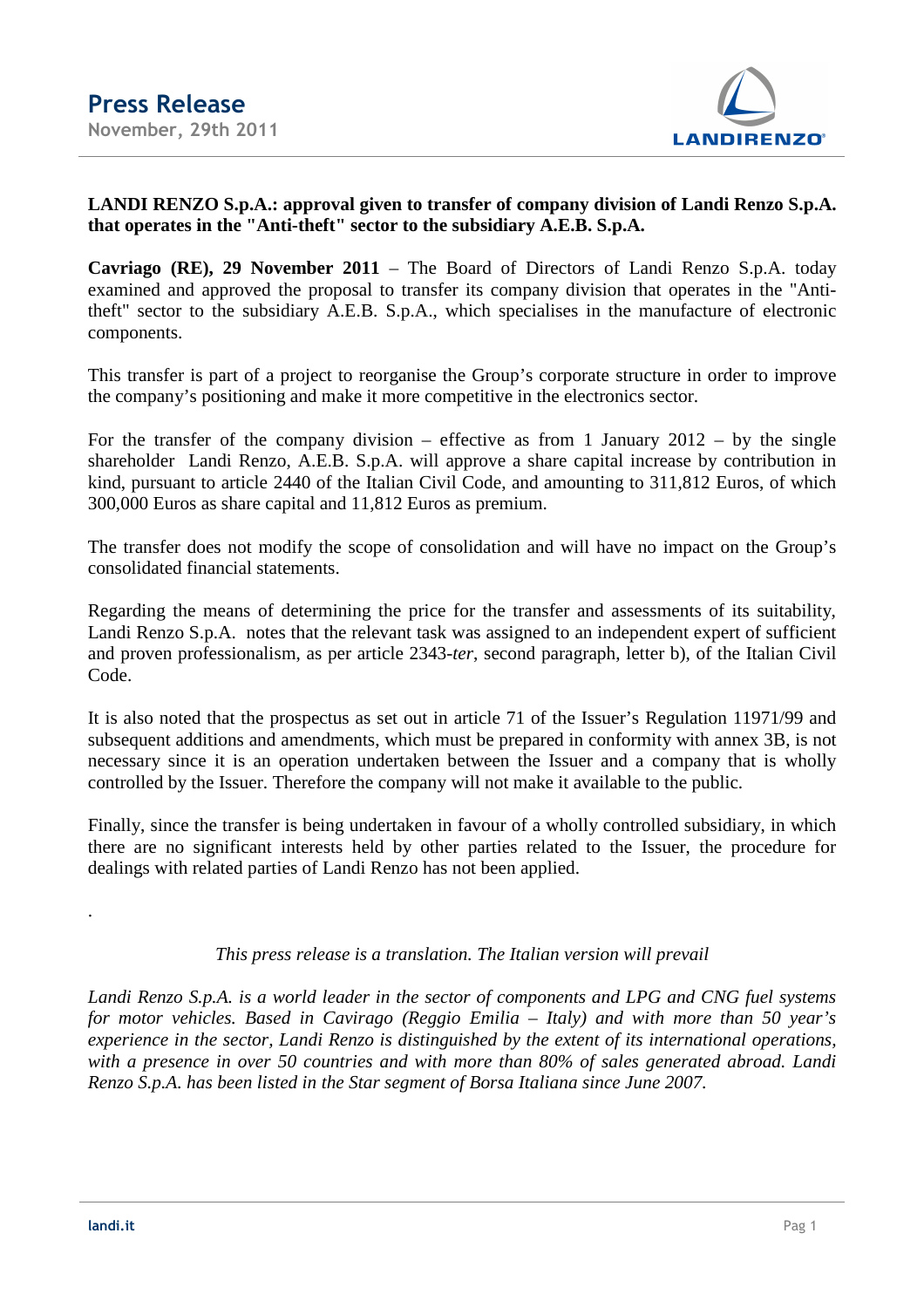

## **LANDI RENZO S.p.A.: approval given to transfer of company division of Landi Renzo S.p.A. that operates in the "Anti-theft" sector to the subsidiary A.E.B. S.p.A.**

**Cavriago (RE), 29 November 2011** – The Board of Directors of Landi Renzo S.p.A. today examined and approved the proposal to transfer its company division that operates in the "Antitheft" sector to the subsidiary A.E.B. S.p.A., which specialises in the manufacture of electronic components.

This transfer is part of a project to reorganise the Group's corporate structure in order to improve the company's positioning and make it more competitive in the electronics sector.

For the transfer of the company division – effective as from 1 January 2012 – by the single shareholder Landi Renzo, A.E.B. S.p.A. will approve a share capital increase by contribution in kind, pursuant to article 2440 of the Italian Civil Code, and amounting to 311,812 Euros, of which 300,000 Euros as share capital and 11,812 Euros as premium.

The transfer does not modify the scope of consolidation and will have no impact on the Group's consolidated financial statements.

Regarding the means of determining the price for the transfer and assessments of its suitability, Landi Renzo S.p.A. notes that the relevant task was assigned to an independent expert of sufficient and proven professionalism, as per article 2343*-ter*, second paragraph, letter b), of the Italian Civil Code.

It is also noted that the prospectus as set out in article 71 of the Issuer's Regulation 11971/99 and subsequent additions and amendments, which must be prepared in conformity with annex 3B, is not necessary since it is an operation undertaken between the Issuer and a company that is wholly controlled by the Issuer. Therefore the company will not make it available to the public.

Finally, since the transfer is being undertaken in favour of a wholly controlled subsidiary, in which there are no significant interests held by other parties related to the Issuer, the procedure for dealings with related parties of Landi Renzo has not been applied.

## *This press release is a translation. The Italian version will prevail*

*Landi Renzo S.p.A. is a world leader in the sector of components and LPG and CNG fuel systems for motor vehicles. Based in Cavirago (Reggio Emilia – Italy) and with more than 50 year's experience in the sector, Landi Renzo is distinguished by the extent of its international operations, with a presence in over 50 countries and with more than 80% of sales generated abroad. Landi Renzo S.p.A. has been listed in the Star segment of Borsa Italiana since June 2007.* 

.